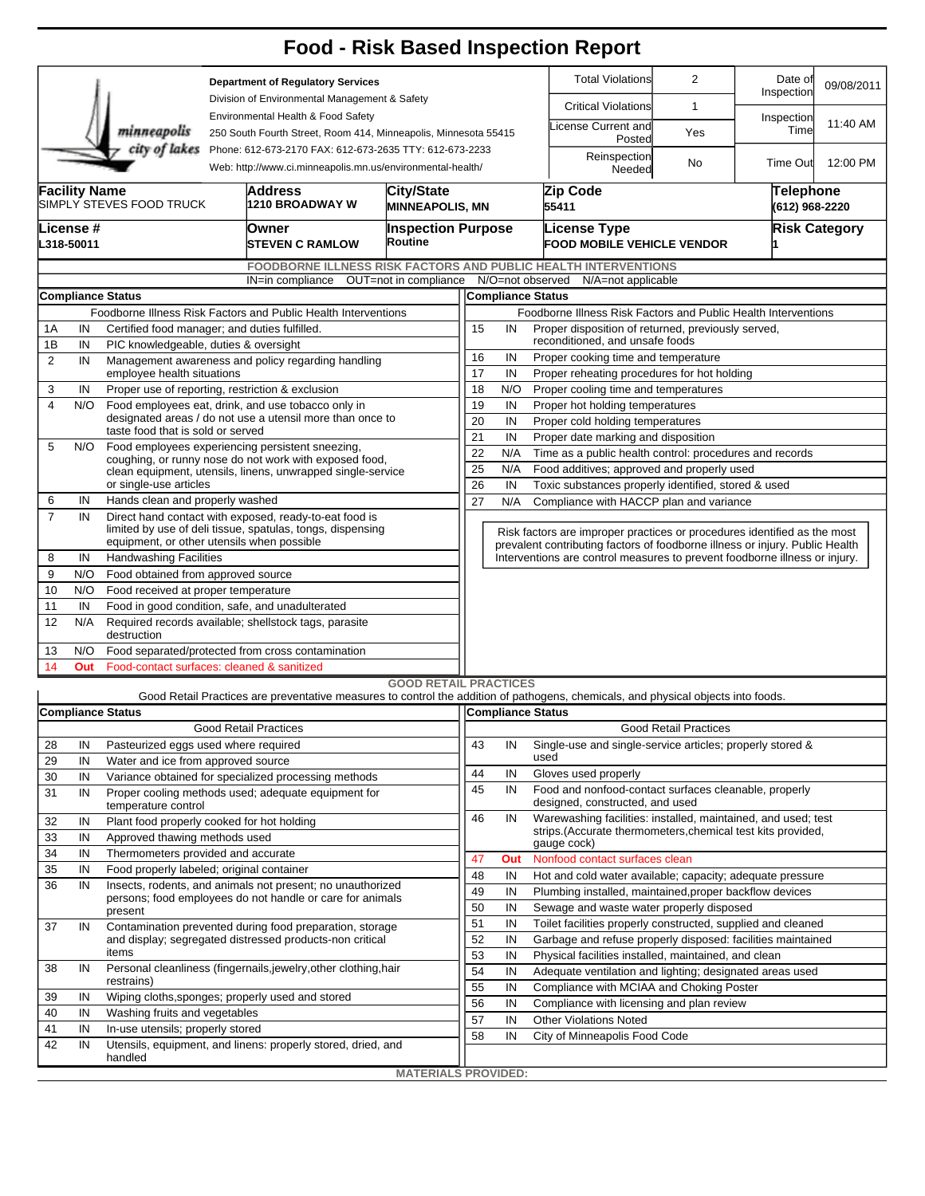| <b>Total Violations</b><br>$\overline{2}$<br>Date of<br><b>Department of Regulatory Services</b><br>09/08/2011<br>Inspection<br>Division of Environmental Management & Safety<br><b>Critical Violations</b><br>$\mathbf{1}$<br>Environmental Health & Food Safety<br>Inspection<br>11:40 AM<br>icense Current and<br>Time<br>minneapolis<br>250 South Fourth Street, Room 414, Minneapolis, Minnesota 55415<br>Yes<br>Posted<br>city of lakes<br>Phone: 612-673-2170 FAX: 612-673-2635 TTY: 612-673-2233<br>Reinspection<br>12:00 PM<br>No<br>Time Out<br>Web: http://www.ci.minneapolis.mn.us/environmental-health/<br>Needed<br><b>Facility Name</b><br>Address<br><b>City/State</b><br>Zip Code<br>Telephone<br>SIMPLY STEVES FOOD TRUCK<br>1210 BROADWAY W<br><b>MINNEAPOLIS, MN</b><br>55411<br>(612) 968-2220<br>License #<br><b>Inspection Purpose</b><br><b>License Type</b><br><b>Risk Category</b><br>Owner<br>Routine<br>L318-50011<br><b>FOOD MOBILE VEHICLE VENDOR</b><br><b>ISTEVEN C RAMLOW</b><br>FOODBORNE ILLNESS RISK FACTORS AND PUBLIC HEALTH INTERVENTIONS<br>IN=in compliance OUT=not in compliance N/O=not observed N/A=not applicable<br><b>Compliance Status</b><br><b>Compliance Status</b><br>Foodborne Illness Risk Factors and Public Health Interventions<br>Foodborne Illness Risk Factors and Public Health Interventions<br>Certified food manager; and duties fulfilled.<br>15<br>Proper disposition of returned, previously served,<br>1A<br>IN<br>IN<br>reconditioned, and unsafe foods<br>1B<br>IN<br>PIC knowledgeable, duties & oversight<br>16<br>IN<br>Proper cooking time and temperature<br>$\overline{2}$<br>IN<br>Management awareness and policy regarding handling<br>17<br>IN<br>Proper reheating procedures for hot holding<br>employee health situations<br>Proper use of reporting, restriction & exclusion<br>18<br>N/O<br>Proper cooling time and temperatures<br>3<br>IN<br>19<br>4<br>N/O<br>Food employees eat, drink, and use tobacco only in<br>IN<br>Proper hot holding temperatures<br>designated areas / do not use a utensil more than once to<br>20<br>IN<br>Proper cold holding temperatures<br>taste food that is sold or served<br>21<br>Proper date marking and disposition<br>IN<br>5<br>N/O<br>Food employees experiencing persistent sneezing,<br>22<br>N/A<br>Time as a public health control: procedures and records<br>coughing, or runny nose do not work with exposed food,<br>25<br>N/A<br>Food additives; approved and properly used<br>clean equipment, utensils, linens, unwrapped single-service<br>or single-use articles<br>26<br>IN<br>Toxic substances properly identified, stored & used<br>Hands clean and properly washed<br>27<br>6<br>IN<br>N/A<br>Compliance with HACCP plan and variance<br>$\overline{7}$<br>Direct hand contact with exposed, ready-to-eat food is<br>IN<br>limited by use of deli tissue, spatulas, tongs, dispensing<br>Risk factors are improper practices or procedures identified as the most<br>equipment, or other utensils when possible<br>prevalent contributing factors of foodborne illness or injury. Public Health<br>8<br><b>Handwashing Facilities</b><br>Interventions are control measures to prevent foodborne illness or injury.<br>IN<br>9<br>N/O<br>Food obtained from approved source<br>10<br>N/O<br>Food received at proper temperature<br>Food in good condition, safe, and unadulterated<br>11<br>IN<br>12<br>N/A<br>Required records available; shellstock tags, parasite<br>destruction<br>N/O<br>Food separated/protected from cross contamination<br>13<br>Food-contact surfaces: cleaned & sanitized<br>14<br>Out<br><b>GOOD RETAIL PRACTICES</b><br>Good Retail Practices are preventative measures to control the addition of pathogens, chemicals, and physical objects into foods.<br><b>Compliance Status</b><br>Compliance Status<br><b>Good Retail Practices</b><br><b>Good Retail Practices</b><br>43<br>Single-use and single-service articles; properly stored &<br>28<br>IN<br>Pasteurized eggs used where required<br>IN<br>used<br>29<br>IN<br>Water and ice from approved source<br>44<br>IN<br>Gloves used properly<br>30<br>IN<br>Variance obtained for specialized processing methods<br>45<br>Food and nonfood-contact surfaces cleanable, properly<br>IN<br>31<br>Proper cooling methods used; adequate equipment for<br>IN<br>designed, constructed, and used<br>temperature control<br>46<br>Warewashing facilities: installed, maintained, and used; test<br>IN<br>32<br>IN<br>Plant food properly cooked for hot holding<br>strips. (Accurate thermometers, chemical test kits provided,<br>33<br>IN<br>Approved thawing methods used<br>gauge cock)<br>34<br>Thermometers provided and accurate<br>IN<br>Nonfood contact surfaces clean<br>47<br>Out<br>35<br>IN<br>Food properly labeled; original container<br>48<br>IN<br>Hot and cold water available; capacity; adequate pressure<br>36<br>IN<br>Insects, rodents, and animals not present; no unauthorized<br>49<br>IN<br>Plumbing installed, maintained, proper backflow devices<br>persons; food employees do not handle or care for animals<br>50<br>IN<br>Sewage and waste water properly disposed<br>present<br>51<br>IN<br>Toilet facilities properly constructed, supplied and cleaned<br>37<br>IN<br>Contamination prevented during food preparation, storage<br>52<br>and display; segregated distressed products-non critical<br>IN<br>Garbage and refuse properly disposed: facilities maintained<br>items<br>53<br>IN<br>Physical facilities installed, maintained, and clean<br>Personal cleanliness (fingernails, jewelry, other clothing, hair<br>IN<br>38<br>54<br>Adequate ventilation and lighting; designated areas used<br>IN<br>restrains)<br>55<br>IN<br>Compliance with MCIAA and Choking Poster<br>39<br>IN<br>Wiping cloths, sponges; properly used and stored<br>56<br>IN<br>Compliance with licensing and plan review<br>40<br>IN<br>Washing fruits and vegetables<br>57<br>IN<br><b>Other Violations Noted</b><br>41<br>IN<br>In-use utensils; properly stored<br>58<br>IN<br>City of Minneapolis Food Code<br>42<br>IN<br>Utensils, equipment, and linens: properly stored, dried, and<br>handled<br><b>MATERIALS PROVIDED:</b> |  |  |  |  |  |  |  |  |  | <b>Food - Risk Based Inspection Report</b> |  |  |  |  |  |  |  |  |
|------------------------------------------------------------------------------------------------------------------------------------------------------------------------------------------------------------------------------------------------------------------------------------------------------------------------------------------------------------------------------------------------------------------------------------------------------------------------------------------------------------------------------------------------------------------------------------------------------------------------------------------------------------------------------------------------------------------------------------------------------------------------------------------------------------------------------------------------------------------------------------------------------------------------------------------------------------------------------------------------------------------------------------------------------------------------------------------------------------------------------------------------------------------------------------------------------------------------------------------------------------------------------------------------------------------------------------------------------------------------------------------------------------------------------------------------------------------------------------------------------------------------------------------------------------------------------------------------------------------------------------------------------------------------------------------------------------------------------------------------------------------------------------------------------------------------------------------------------------------------------------------------------------------------------------------------------------------------------------------------------------------------------------------------------------------------------------------------------------------------------------------------------------------------------------------------------------------------------------------------------------------------------------------------------------------------------------------------------------------------------------------------------------------------------------------------------------------------------------------------------------------------------------------------------------------------------------------------------------------------------------------------------------------------------------------------------------------------------------------------------------------------------------------------------------------------------------------------------------------------------------------------------------------------------------------------------------------------------------------------------------------------------------------------------------------------------------------------------------------------------------------------------------------------------------------------------------------------------------------------------------------------------------------------------------------------------------------------------------------------------------------------------------------------------------------------------------------------------------------------------------------------------------------------------------------------------------------------------------------------------------------------------------------------------------------------------------------------------------------------------------------------------------------------------------------------------------------------------------------------------------------------------------------------------------------------------------------------------------------------------------------------------------------------------------------------------------------------------------------------------------------------------------------------------------------------------------------------------------------------------------------------------------------------------------------------------------------------------------------------------------------------------------------------------------------------------------------------------------------------------------------------------------------------------------------------------------------------------------------------------------------------------------------------------------------------------------------------------------------------------------------------------------------------------------------------------------------------------------------------------------------------------------------------------------------------------------------------------------------------------------------------------------------------------------------------------------------------------------------------------------------------------------------------------------------------------------------------------------------------------------------------------------------------------------------------------------------------------------------------------------------------------------------------------------------------------------------------------------------------------------------------------------------------------------------------------------------------------------------------------------------------------------------------------------------------------------------------------------------------------------------------------------------------------------------------------------------------------------------------------------------------------------------------------------------------------------------------------------------------------------------------------------------------------------------------------------------------------------------------------------------------------------------------------------------------------------------------------------------------------------------------------------------|--|--|--|--|--|--|--|--|--|--------------------------------------------|--|--|--|--|--|--|--|--|
|                                                                                                                                                                                                                                                                                                                                                                                                                                                                                                                                                                                                                                                                                                                                                                                                                                                                                                                                                                                                                                                                                                                                                                                                                                                                                                                                                                                                                                                                                                                                                                                                                                                                                                                                                                                                                                                                                                                                                                                                                                                                                                                                                                                                                                                                                                                                                                                                                                                                                                                                                                                                                                                                                                                                                                                                                                                                                                                                                                                                                                                                                                                                                                                                                                                                                                                                                                                                                                                                                                                                                                                                                                                                                                                                                                                                                                                                                                                                                                                                                                                                                                                                                                                                                                                                                                                                                                                                                                                                                                                                                                                                                                                                                                                                                                                                                                                                                                                                                                                                                                                                                                                                                                                                                                                                                                                                                                                                                                                                                                                                                                                                                                                                                                                                                                                                                                                                                                                                                                                                                                                                                                                                                                                                                                                                                          |  |  |  |  |  |  |  |  |  |                                            |  |  |  |  |  |  |  |  |
|                                                                                                                                                                                                                                                                                                                                                                                                                                                                                                                                                                                                                                                                                                                                                                                                                                                                                                                                                                                                                                                                                                                                                                                                                                                                                                                                                                                                                                                                                                                                                                                                                                                                                                                                                                                                                                                                                                                                                                                                                                                                                                                                                                                                                                                                                                                                                                                                                                                                                                                                                                                                                                                                                                                                                                                                                                                                                                                                                                                                                                                                                                                                                                                                                                                                                                                                                                                                                                                                                                                                                                                                                                                                                                                                                                                                                                                                                                                                                                                                                                                                                                                                                                                                                                                                                                                                                                                                                                                                                                                                                                                                                                                                                                                                                                                                                                                                                                                                                                                                                                                                                                                                                                                                                                                                                                                                                                                                                                                                                                                                                                                                                                                                                                                                                                                                                                                                                                                                                                                                                                                                                                                                                                                                                                                                                          |  |  |  |  |  |  |  |  |  |                                            |  |  |  |  |  |  |  |  |
|                                                                                                                                                                                                                                                                                                                                                                                                                                                                                                                                                                                                                                                                                                                                                                                                                                                                                                                                                                                                                                                                                                                                                                                                                                                                                                                                                                                                                                                                                                                                                                                                                                                                                                                                                                                                                                                                                                                                                                                                                                                                                                                                                                                                                                                                                                                                                                                                                                                                                                                                                                                                                                                                                                                                                                                                                                                                                                                                                                                                                                                                                                                                                                                                                                                                                                                                                                                                                                                                                                                                                                                                                                                                                                                                                                                                                                                                                                                                                                                                                                                                                                                                                                                                                                                                                                                                                                                                                                                                                                                                                                                                                                                                                                                                                                                                                                                                                                                                                                                                                                                                                                                                                                                                                                                                                                                                                                                                                                                                                                                                                                                                                                                                                                                                                                                                                                                                                                                                                                                                                                                                                                                                                                                                                                                                                          |  |  |  |  |  |  |  |  |  |                                            |  |  |  |  |  |  |  |  |
|                                                                                                                                                                                                                                                                                                                                                                                                                                                                                                                                                                                                                                                                                                                                                                                                                                                                                                                                                                                                                                                                                                                                                                                                                                                                                                                                                                                                                                                                                                                                                                                                                                                                                                                                                                                                                                                                                                                                                                                                                                                                                                                                                                                                                                                                                                                                                                                                                                                                                                                                                                                                                                                                                                                                                                                                                                                                                                                                                                                                                                                                                                                                                                                                                                                                                                                                                                                                                                                                                                                                                                                                                                                                                                                                                                                                                                                                                                                                                                                                                                                                                                                                                                                                                                                                                                                                                                                                                                                                                                                                                                                                                                                                                                                                                                                                                                                                                                                                                                                                                                                                                                                                                                                                                                                                                                                                                                                                                                                                                                                                                                                                                                                                                                                                                                                                                                                                                                                                                                                                                                                                                                                                                                                                                                                                                          |  |  |  |  |  |  |  |  |  |                                            |  |  |  |  |  |  |  |  |
|                                                                                                                                                                                                                                                                                                                                                                                                                                                                                                                                                                                                                                                                                                                                                                                                                                                                                                                                                                                                                                                                                                                                                                                                                                                                                                                                                                                                                                                                                                                                                                                                                                                                                                                                                                                                                                                                                                                                                                                                                                                                                                                                                                                                                                                                                                                                                                                                                                                                                                                                                                                                                                                                                                                                                                                                                                                                                                                                                                                                                                                                                                                                                                                                                                                                                                                                                                                                                                                                                                                                                                                                                                                                                                                                                                                                                                                                                                                                                                                                                                                                                                                                                                                                                                                                                                                                                                                                                                                                                                                                                                                                                                                                                                                                                                                                                                                                                                                                                                                                                                                                                                                                                                                                                                                                                                                                                                                                                                                                                                                                                                                                                                                                                                                                                                                                                                                                                                                                                                                                                                                                                                                                                                                                                                                                                          |  |  |  |  |  |  |  |  |  |                                            |  |  |  |  |  |  |  |  |
|                                                                                                                                                                                                                                                                                                                                                                                                                                                                                                                                                                                                                                                                                                                                                                                                                                                                                                                                                                                                                                                                                                                                                                                                                                                                                                                                                                                                                                                                                                                                                                                                                                                                                                                                                                                                                                                                                                                                                                                                                                                                                                                                                                                                                                                                                                                                                                                                                                                                                                                                                                                                                                                                                                                                                                                                                                                                                                                                                                                                                                                                                                                                                                                                                                                                                                                                                                                                                                                                                                                                                                                                                                                                                                                                                                                                                                                                                                                                                                                                                                                                                                                                                                                                                                                                                                                                                                                                                                                                                                                                                                                                                                                                                                                                                                                                                                                                                                                                                                                                                                                                                                                                                                                                                                                                                                                                                                                                                                                                                                                                                                                                                                                                                                                                                                                                                                                                                                                                                                                                                                                                                                                                                                                                                                                                                          |  |  |  |  |  |  |  |  |  |                                            |  |  |  |  |  |  |  |  |
|                                                                                                                                                                                                                                                                                                                                                                                                                                                                                                                                                                                                                                                                                                                                                                                                                                                                                                                                                                                                                                                                                                                                                                                                                                                                                                                                                                                                                                                                                                                                                                                                                                                                                                                                                                                                                                                                                                                                                                                                                                                                                                                                                                                                                                                                                                                                                                                                                                                                                                                                                                                                                                                                                                                                                                                                                                                                                                                                                                                                                                                                                                                                                                                                                                                                                                                                                                                                                                                                                                                                                                                                                                                                                                                                                                                                                                                                                                                                                                                                                                                                                                                                                                                                                                                                                                                                                                                                                                                                                                                                                                                                                                                                                                                                                                                                                                                                                                                                                                                                                                                                                                                                                                                                                                                                                                                                                                                                                                                                                                                                                                                                                                                                                                                                                                                                                                                                                                                                                                                                                                                                                                                                                                                                                                                                                          |  |  |  |  |  |  |  |  |  |                                            |  |  |  |  |  |  |  |  |
|                                                                                                                                                                                                                                                                                                                                                                                                                                                                                                                                                                                                                                                                                                                                                                                                                                                                                                                                                                                                                                                                                                                                                                                                                                                                                                                                                                                                                                                                                                                                                                                                                                                                                                                                                                                                                                                                                                                                                                                                                                                                                                                                                                                                                                                                                                                                                                                                                                                                                                                                                                                                                                                                                                                                                                                                                                                                                                                                                                                                                                                                                                                                                                                                                                                                                                                                                                                                                                                                                                                                                                                                                                                                                                                                                                                                                                                                                                                                                                                                                                                                                                                                                                                                                                                                                                                                                                                                                                                                                                                                                                                                                                                                                                                                                                                                                                                                                                                                                                                                                                                                                                                                                                                                                                                                                                                                                                                                                                                                                                                                                                                                                                                                                                                                                                                                                                                                                                                                                                                                                                                                                                                                                                                                                                                                                          |  |  |  |  |  |  |  |  |  |                                            |  |  |  |  |  |  |  |  |
|                                                                                                                                                                                                                                                                                                                                                                                                                                                                                                                                                                                                                                                                                                                                                                                                                                                                                                                                                                                                                                                                                                                                                                                                                                                                                                                                                                                                                                                                                                                                                                                                                                                                                                                                                                                                                                                                                                                                                                                                                                                                                                                                                                                                                                                                                                                                                                                                                                                                                                                                                                                                                                                                                                                                                                                                                                                                                                                                                                                                                                                                                                                                                                                                                                                                                                                                                                                                                                                                                                                                                                                                                                                                                                                                                                                                                                                                                                                                                                                                                                                                                                                                                                                                                                                                                                                                                                                                                                                                                                                                                                                                                                                                                                                                                                                                                                                                                                                                                                                                                                                                                                                                                                                                                                                                                                                                                                                                                                                                                                                                                                                                                                                                                                                                                                                                                                                                                                                                                                                                                                                                                                                                                                                                                                                                                          |  |  |  |  |  |  |  |  |  |                                            |  |  |  |  |  |  |  |  |
|                                                                                                                                                                                                                                                                                                                                                                                                                                                                                                                                                                                                                                                                                                                                                                                                                                                                                                                                                                                                                                                                                                                                                                                                                                                                                                                                                                                                                                                                                                                                                                                                                                                                                                                                                                                                                                                                                                                                                                                                                                                                                                                                                                                                                                                                                                                                                                                                                                                                                                                                                                                                                                                                                                                                                                                                                                                                                                                                                                                                                                                                                                                                                                                                                                                                                                                                                                                                                                                                                                                                                                                                                                                                                                                                                                                                                                                                                                                                                                                                                                                                                                                                                                                                                                                                                                                                                                                                                                                                                                                                                                                                                                                                                                                                                                                                                                                                                                                                                                                                                                                                                                                                                                                                                                                                                                                                                                                                                                                                                                                                                                                                                                                                                                                                                                                                                                                                                                                                                                                                                                                                                                                                                                                                                                                                                          |  |  |  |  |  |  |  |  |  |                                            |  |  |  |  |  |  |  |  |
|                                                                                                                                                                                                                                                                                                                                                                                                                                                                                                                                                                                                                                                                                                                                                                                                                                                                                                                                                                                                                                                                                                                                                                                                                                                                                                                                                                                                                                                                                                                                                                                                                                                                                                                                                                                                                                                                                                                                                                                                                                                                                                                                                                                                                                                                                                                                                                                                                                                                                                                                                                                                                                                                                                                                                                                                                                                                                                                                                                                                                                                                                                                                                                                                                                                                                                                                                                                                                                                                                                                                                                                                                                                                                                                                                                                                                                                                                                                                                                                                                                                                                                                                                                                                                                                                                                                                                                                                                                                                                                                                                                                                                                                                                                                                                                                                                                                                                                                                                                                                                                                                                                                                                                                                                                                                                                                                                                                                                                                                                                                                                                                                                                                                                                                                                                                                                                                                                                                                                                                                                                                                                                                                                                                                                                                                                          |  |  |  |  |  |  |  |  |  |                                            |  |  |  |  |  |  |  |  |
|                                                                                                                                                                                                                                                                                                                                                                                                                                                                                                                                                                                                                                                                                                                                                                                                                                                                                                                                                                                                                                                                                                                                                                                                                                                                                                                                                                                                                                                                                                                                                                                                                                                                                                                                                                                                                                                                                                                                                                                                                                                                                                                                                                                                                                                                                                                                                                                                                                                                                                                                                                                                                                                                                                                                                                                                                                                                                                                                                                                                                                                                                                                                                                                                                                                                                                                                                                                                                                                                                                                                                                                                                                                                                                                                                                                                                                                                                                                                                                                                                                                                                                                                                                                                                                                                                                                                                                                                                                                                                                                                                                                                                                                                                                                                                                                                                                                                                                                                                                                                                                                                                                                                                                                                                                                                                                                                                                                                                                                                                                                                                                                                                                                                                                                                                                                                                                                                                                                                                                                                                                                                                                                                                                                                                                                                                          |  |  |  |  |  |  |  |  |  |                                            |  |  |  |  |  |  |  |  |
|                                                                                                                                                                                                                                                                                                                                                                                                                                                                                                                                                                                                                                                                                                                                                                                                                                                                                                                                                                                                                                                                                                                                                                                                                                                                                                                                                                                                                                                                                                                                                                                                                                                                                                                                                                                                                                                                                                                                                                                                                                                                                                                                                                                                                                                                                                                                                                                                                                                                                                                                                                                                                                                                                                                                                                                                                                                                                                                                                                                                                                                                                                                                                                                                                                                                                                                                                                                                                                                                                                                                                                                                                                                                                                                                                                                                                                                                                                                                                                                                                                                                                                                                                                                                                                                                                                                                                                                                                                                                                                                                                                                                                                                                                                                                                                                                                                                                                                                                                                                                                                                                                                                                                                                                                                                                                                                                                                                                                                                                                                                                                                                                                                                                                                                                                                                                                                                                                                                                                                                                                                                                                                                                                                                                                                                                                          |  |  |  |  |  |  |  |  |  |                                            |  |  |  |  |  |  |  |  |
|                                                                                                                                                                                                                                                                                                                                                                                                                                                                                                                                                                                                                                                                                                                                                                                                                                                                                                                                                                                                                                                                                                                                                                                                                                                                                                                                                                                                                                                                                                                                                                                                                                                                                                                                                                                                                                                                                                                                                                                                                                                                                                                                                                                                                                                                                                                                                                                                                                                                                                                                                                                                                                                                                                                                                                                                                                                                                                                                                                                                                                                                                                                                                                                                                                                                                                                                                                                                                                                                                                                                                                                                                                                                                                                                                                                                                                                                                                                                                                                                                                                                                                                                                                                                                                                                                                                                                                                                                                                                                                                                                                                                                                                                                                                                                                                                                                                                                                                                                                                                                                                                                                                                                                                                                                                                                                                                                                                                                                                                                                                                                                                                                                                                                                                                                                                                                                                                                                                                                                                                                                                                                                                                                                                                                                                                                          |  |  |  |  |  |  |  |  |  |                                            |  |  |  |  |  |  |  |  |
|                                                                                                                                                                                                                                                                                                                                                                                                                                                                                                                                                                                                                                                                                                                                                                                                                                                                                                                                                                                                                                                                                                                                                                                                                                                                                                                                                                                                                                                                                                                                                                                                                                                                                                                                                                                                                                                                                                                                                                                                                                                                                                                                                                                                                                                                                                                                                                                                                                                                                                                                                                                                                                                                                                                                                                                                                                                                                                                                                                                                                                                                                                                                                                                                                                                                                                                                                                                                                                                                                                                                                                                                                                                                                                                                                                                                                                                                                                                                                                                                                                                                                                                                                                                                                                                                                                                                                                                                                                                                                                                                                                                                                                                                                                                                                                                                                                                                                                                                                                                                                                                                                                                                                                                                                                                                                                                                                                                                                                                                                                                                                                                                                                                                                                                                                                                                                                                                                                                                                                                                                                                                                                                                                                                                                                                                                          |  |  |  |  |  |  |  |  |  |                                            |  |  |  |  |  |  |  |  |
|                                                                                                                                                                                                                                                                                                                                                                                                                                                                                                                                                                                                                                                                                                                                                                                                                                                                                                                                                                                                                                                                                                                                                                                                                                                                                                                                                                                                                                                                                                                                                                                                                                                                                                                                                                                                                                                                                                                                                                                                                                                                                                                                                                                                                                                                                                                                                                                                                                                                                                                                                                                                                                                                                                                                                                                                                                                                                                                                                                                                                                                                                                                                                                                                                                                                                                                                                                                                                                                                                                                                                                                                                                                                                                                                                                                                                                                                                                                                                                                                                                                                                                                                                                                                                                                                                                                                                                                                                                                                                                                                                                                                                                                                                                                                                                                                                                                                                                                                                                                                                                                                                                                                                                                                                                                                                                                                                                                                                                                                                                                                                                                                                                                                                                                                                                                                                                                                                                                                                                                                                                                                                                                                                                                                                                                                                          |  |  |  |  |  |  |  |  |  |                                            |  |  |  |  |  |  |  |  |
|                                                                                                                                                                                                                                                                                                                                                                                                                                                                                                                                                                                                                                                                                                                                                                                                                                                                                                                                                                                                                                                                                                                                                                                                                                                                                                                                                                                                                                                                                                                                                                                                                                                                                                                                                                                                                                                                                                                                                                                                                                                                                                                                                                                                                                                                                                                                                                                                                                                                                                                                                                                                                                                                                                                                                                                                                                                                                                                                                                                                                                                                                                                                                                                                                                                                                                                                                                                                                                                                                                                                                                                                                                                                                                                                                                                                                                                                                                                                                                                                                                                                                                                                                                                                                                                                                                                                                                                                                                                                                                                                                                                                                                                                                                                                                                                                                                                                                                                                                                                                                                                                                                                                                                                                                                                                                                                                                                                                                                                                                                                                                                                                                                                                                                                                                                                                                                                                                                                                                                                                                                                                                                                                                                                                                                                                                          |  |  |  |  |  |  |  |  |  |                                            |  |  |  |  |  |  |  |  |
|                                                                                                                                                                                                                                                                                                                                                                                                                                                                                                                                                                                                                                                                                                                                                                                                                                                                                                                                                                                                                                                                                                                                                                                                                                                                                                                                                                                                                                                                                                                                                                                                                                                                                                                                                                                                                                                                                                                                                                                                                                                                                                                                                                                                                                                                                                                                                                                                                                                                                                                                                                                                                                                                                                                                                                                                                                                                                                                                                                                                                                                                                                                                                                                                                                                                                                                                                                                                                                                                                                                                                                                                                                                                                                                                                                                                                                                                                                                                                                                                                                                                                                                                                                                                                                                                                                                                                                                                                                                                                                                                                                                                                                                                                                                                                                                                                                                                                                                                                                                                                                                                                                                                                                                                                                                                                                                                                                                                                                                                                                                                                                                                                                                                                                                                                                                                                                                                                                                                                                                                                                                                                                                                                                                                                                                                                          |  |  |  |  |  |  |  |  |  |                                            |  |  |  |  |  |  |  |  |
|                                                                                                                                                                                                                                                                                                                                                                                                                                                                                                                                                                                                                                                                                                                                                                                                                                                                                                                                                                                                                                                                                                                                                                                                                                                                                                                                                                                                                                                                                                                                                                                                                                                                                                                                                                                                                                                                                                                                                                                                                                                                                                                                                                                                                                                                                                                                                                                                                                                                                                                                                                                                                                                                                                                                                                                                                                                                                                                                                                                                                                                                                                                                                                                                                                                                                                                                                                                                                                                                                                                                                                                                                                                                                                                                                                                                                                                                                                                                                                                                                                                                                                                                                                                                                                                                                                                                                                                                                                                                                                                                                                                                                                                                                                                                                                                                                                                                                                                                                                                                                                                                                                                                                                                                                                                                                                                                                                                                                                                                                                                                                                                                                                                                                                                                                                                                                                                                                                                                                                                                                                                                                                                                                                                                                                                                                          |  |  |  |  |  |  |  |  |  |                                            |  |  |  |  |  |  |  |  |
|                                                                                                                                                                                                                                                                                                                                                                                                                                                                                                                                                                                                                                                                                                                                                                                                                                                                                                                                                                                                                                                                                                                                                                                                                                                                                                                                                                                                                                                                                                                                                                                                                                                                                                                                                                                                                                                                                                                                                                                                                                                                                                                                                                                                                                                                                                                                                                                                                                                                                                                                                                                                                                                                                                                                                                                                                                                                                                                                                                                                                                                                                                                                                                                                                                                                                                                                                                                                                                                                                                                                                                                                                                                                                                                                                                                                                                                                                                                                                                                                                                                                                                                                                                                                                                                                                                                                                                                                                                                                                                                                                                                                                                                                                                                                                                                                                                                                                                                                                                                                                                                                                                                                                                                                                                                                                                                                                                                                                                                                                                                                                                                                                                                                                                                                                                                                                                                                                                                                                                                                                                                                                                                                                                                                                                                                                          |  |  |  |  |  |  |  |  |  |                                            |  |  |  |  |  |  |  |  |
|                                                                                                                                                                                                                                                                                                                                                                                                                                                                                                                                                                                                                                                                                                                                                                                                                                                                                                                                                                                                                                                                                                                                                                                                                                                                                                                                                                                                                                                                                                                                                                                                                                                                                                                                                                                                                                                                                                                                                                                                                                                                                                                                                                                                                                                                                                                                                                                                                                                                                                                                                                                                                                                                                                                                                                                                                                                                                                                                                                                                                                                                                                                                                                                                                                                                                                                                                                                                                                                                                                                                                                                                                                                                                                                                                                                                                                                                                                                                                                                                                                                                                                                                                                                                                                                                                                                                                                                                                                                                                                                                                                                                                                                                                                                                                                                                                                                                                                                                                                                                                                                                                                                                                                                                                                                                                                                                                                                                                                                                                                                                                                                                                                                                                                                                                                                                                                                                                                                                                                                                                                                                                                                                                                                                                                                                                          |  |  |  |  |  |  |  |  |  |                                            |  |  |  |  |  |  |  |  |
|                                                                                                                                                                                                                                                                                                                                                                                                                                                                                                                                                                                                                                                                                                                                                                                                                                                                                                                                                                                                                                                                                                                                                                                                                                                                                                                                                                                                                                                                                                                                                                                                                                                                                                                                                                                                                                                                                                                                                                                                                                                                                                                                                                                                                                                                                                                                                                                                                                                                                                                                                                                                                                                                                                                                                                                                                                                                                                                                                                                                                                                                                                                                                                                                                                                                                                                                                                                                                                                                                                                                                                                                                                                                                                                                                                                                                                                                                                                                                                                                                                                                                                                                                                                                                                                                                                                                                                                                                                                                                                                                                                                                                                                                                                                                                                                                                                                                                                                                                                                                                                                                                                                                                                                                                                                                                                                                                                                                                                                                                                                                                                                                                                                                                                                                                                                                                                                                                                                                                                                                                                                                                                                                                                                                                                                                                          |  |  |  |  |  |  |  |  |  |                                            |  |  |  |  |  |  |  |  |
|                                                                                                                                                                                                                                                                                                                                                                                                                                                                                                                                                                                                                                                                                                                                                                                                                                                                                                                                                                                                                                                                                                                                                                                                                                                                                                                                                                                                                                                                                                                                                                                                                                                                                                                                                                                                                                                                                                                                                                                                                                                                                                                                                                                                                                                                                                                                                                                                                                                                                                                                                                                                                                                                                                                                                                                                                                                                                                                                                                                                                                                                                                                                                                                                                                                                                                                                                                                                                                                                                                                                                                                                                                                                                                                                                                                                                                                                                                                                                                                                                                                                                                                                                                                                                                                                                                                                                                                                                                                                                                                                                                                                                                                                                                                                                                                                                                                                                                                                                                                                                                                                                                                                                                                                                                                                                                                                                                                                                                                                                                                                                                                                                                                                                                                                                                                                                                                                                                                                                                                                                                                                                                                                                                                                                                                                                          |  |  |  |  |  |  |  |  |  |                                            |  |  |  |  |  |  |  |  |
|                                                                                                                                                                                                                                                                                                                                                                                                                                                                                                                                                                                                                                                                                                                                                                                                                                                                                                                                                                                                                                                                                                                                                                                                                                                                                                                                                                                                                                                                                                                                                                                                                                                                                                                                                                                                                                                                                                                                                                                                                                                                                                                                                                                                                                                                                                                                                                                                                                                                                                                                                                                                                                                                                                                                                                                                                                                                                                                                                                                                                                                                                                                                                                                                                                                                                                                                                                                                                                                                                                                                                                                                                                                                                                                                                                                                                                                                                                                                                                                                                                                                                                                                                                                                                                                                                                                                                                                                                                                                                                                                                                                                                                                                                                                                                                                                                                                                                                                                                                                                                                                                                                                                                                                                                                                                                                                                                                                                                                                                                                                                                                                                                                                                                                                                                                                                                                                                                                                                                                                                                                                                                                                                                                                                                                                                                          |  |  |  |  |  |  |  |  |  |                                            |  |  |  |  |  |  |  |  |
|                                                                                                                                                                                                                                                                                                                                                                                                                                                                                                                                                                                                                                                                                                                                                                                                                                                                                                                                                                                                                                                                                                                                                                                                                                                                                                                                                                                                                                                                                                                                                                                                                                                                                                                                                                                                                                                                                                                                                                                                                                                                                                                                                                                                                                                                                                                                                                                                                                                                                                                                                                                                                                                                                                                                                                                                                                                                                                                                                                                                                                                                                                                                                                                                                                                                                                                                                                                                                                                                                                                                                                                                                                                                                                                                                                                                                                                                                                                                                                                                                                                                                                                                                                                                                                                                                                                                                                                                                                                                                                                                                                                                                                                                                                                                                                                                                                                                                                                                                                                                                                                                                                                                                                                                                                                                                                                                                                                                                                                                                                                                                                                                                                                                                                                                                                                                                                                                                                                                                                                                                                                                                                                                                                                                                                                                                          |  |  |  |  |  |  |  |  |  |                                            |  |  |  |  |  |  |  |  |
|                                                                                                                                                                                                                                                                                                                                                                                                                                                                                                                                                                                                                                                                                                                                                                                                                                                                                                                                                                                                                                                                                                                                                                                                                                                                                                                                                                                                                                                                                                                                                                                                                                                                                                                                                                                                                                                                                                                                                                                                                                                                                                                                                                                                                                                                                                                                                                                                                                                                                                                                                                                                                                                                                                                                                                                                                                                                                                                                                                                                                                                                                                                                                                                                                                                                                                                                                                                                                                                                                                                                                                                                                                                                                                                                                                                                                                                                                                                                                                                                                                                                                                                                                                                                                                                                                                                                                                                                                                                                                                                                                                                                                                                                                                                                                                                                                                                                                                                                                                                                                                                                                                                                                                                                                                                                                                                                                                                                                                                                                                                                                                                                                                                                                                                                                                                                                                                                                                                                                                                                                                                                                                                                                                                                                                                                                          |  |  |  |  |  |  |  |  |  |                                            |  |  |  |  |  |  |  |  |
|                                                                                                                                                                                                                                                                                                                                                                                                                                                                                                                                                                                                                                                                                                                                                                                                                                                                                                                                                                                                                                                                                                                                                                                                                                                                                                                                                                                                                                                                                                                                                                                                                                                                                                                                                                                                                                                                                                                                                                                                                                                                                                                                                                                                                                                                                                                                                                                                                                                                                                                                                                                                                                                                                                                                                                                                                                                                                                                                                                                                                                                                                                                                                                                                                                                                                                                                                                                                                                                                                                                                                                                                                                                                                                                                                                                                                                                                                                                                                                                                                                                                                                                                                                                                                                                                                                                                                                                                                                                                                                                                                                                                                                                                                                                                                                                                                                                                                                                                                                                                                                                                                                                                                                                                                                                                                                                                                                                                                                                                                                                                                                                                                                                                                                                                                                                                                                                                                                                                                                                                                                                                                                                                                                                                                                                                                          |  |  |  |  |  |  |  |  |  |                                            |  |  |  |  |  |  |  |  |
|                                                                                                                                                                                                                                                                                                                                                                                                                                                                                                                                                                                                                                                                                                                                                                                                                                                                                                                                                                                                                                                                                                                                                                                                                                                                                                                                                                                                                                                                                                                                                                                                                                                                                                                                                                                                                                                                                                                                                                                                                                                                                                                                                                                                                                                                                                                                                                                                                                                                                                                                                                                                                                                                                                                                                                                                                                                                                                                                                                                                                                                                                                                                                                                                                                                                                                                                                                                                                                                                                                                                                                                                                                                                                                                                                                                                                                                                                                                                                                                                                                                                                                                                                                                                                                                                                                                                                                                                                                                                                                                                                                                                                                                                                                                                                                                                                                                                                                                                                                                                                                                                                                                                                                                                                                                                                                                                                                                                                                                                                                                                                                                                                                                                                                                                                                                                                                                                                                                                                                                                                                                                                                                                                                                                                                                                                          |  |  |  |  |  |  |  |  |  |                                            |  |  |  |  |  |  |  |  |
|                                                                                                                                                                                                                                                                                                                                                                                                                                                                                                                                                                                                                                                                                                                                                                                                                                                                                                                                                                                                                                                                                                                                                                                                                                                                                                                                                                                                                                                                                                                                                                                                                                                                                                                                                                                                                                                                                                                                                                                                                                                                                                                                                                                                                                                                                                                                                                                                                                                                                                                                                                                                                                                                                                                                                                                                                                                                                                                                                                                                                                                                                                                                                                                                                                                                                                                                                                                                                                                                                                                                                                                                                                                                                                                                                                                                                                                                                                                                                                                                                                                                                                                                                                                                                                                                                                                                                                                                                                                                                                                                                                                                                                                                                                                                                                                                                                                                                                                                                                                                                                                                                                                                                                                                                                                                                                                                                                                                                                                                                                                                                                                                                                                                                                                                                                                                                                                                                                                                                                                                                                                                                                                                                                                                                                                                                          |  |  |  |  |  |  |  |  |  |                                            |  |  |  |  |  |  |  |  |
|                                                                                                                                                                                                                                                                                                                                                                                                                                                                                                                                                                                                                                                                                                                                                                                                                                                                                                                                                                                                                                                                                                                                                                                                                                                                                                                                                                                                                                                                                                                                                                                                                                                                                                                                                                                                                                                                                                                                                                                                                                                                                                                                                                                                                                                                                                                                                                                                                                                                                                                                                                                                                                                                                                                                                                                                                                                                                                                                                                                                                                                                                                                                                                                                                                                                                                                                                                                                                                                                                                                                                                                                                                                                                                                                                                                                                                                                                                                                                                                                                                                                                                                                                                                                                                                                                                                                                                                                                                                                                                                                                                                                                                                                                                                                                                                                                                                                                                                                                                                                                                                                                                                                                                                                                                                                                                                                                                                                                                                                                                                                                                                                                                                                                                                                                                                                                                                                                                                                                                                                                                                                                                                                                                                                                                                                                          |  |  |  |  |  |  |  |  |  |                                            |  |  |  |  |  |  |  |  |
|                                                                                                                                                                                                                                                                                                                                                                                                                                                                                                                                                                                                                                                                                                                                                                                                                                                                                                                                                                                                                                                                                                                                                                                                                                                                                                                                                                                                                                                                                                                                                                                                                                                                                                                                                                                                                                                                                                                                                                                                                                                                                                                                                                                                                                                                                                                                                                                                                                                                                                                                                                                                                                                                                                                                                                                                                                                                                                                                                                                                                                                                                                                                                                                                                                                                                                                                                                                                                                                                                                                                                                                                                                                                                                                                                                                                                                                                                                                                                                                                                                                                                                                                                                                                                                                                                                                                                                                                                                                                                                                                                                                                                                                                                                                                                                                                                                                                                                                                                                                                                                                                                                                                                                                                                                                                                                                                                                                                                                                                                                                                                                                                                                                                                                                                                                                                                                                                                                                                                                                                                                                                                                                                                                                                                                                                                          |  |  |  |  |  |  |  |  |  |                                            |  |  |  |  |  |  |  |  |
|                                                                                                                                                                                                                                                                                                                                                                                                                                                                                                                                                                                                                                                                                                                                                                                                                                                                                                                                                                                                                                                                                                                                                                                                                                                                                                                                                                                                                                                                                                                                                                                                                                                                                                                                                                                                                                                                                                                                                                                                                                                                                                                                                                                                                                                                                                                                                                                                                                                                                                                                                                                                                                                                                                                                                                                                                                                                                                                                                                                                                                                                                                                                                                                                                                                                                                                                                                                                                                                                                                                                                                                                                                                                                                                                                                                                                                                                                                                                                                                                                                                                                                                                                                                                                                                                                                                                                                                                                                                                                                                                                                                                                                                                                                                                                                                                                                                                                                                                                                                                                                                                                                                                                                                                                                                                                                                                                                                                                                                                                                                                                                                                                                                                                                                                                                                                                                                                                                                                                                                                                                                                                                                                                                                                                                                                                          |  |  |  |  |  |  |  |  |  |                                            |  |  |  |  |  |  |  |  |
|                                                                                                                                                                                                                                                                                                                                                                                                                                                                                                                                                                                                                                                                                                                                                                                                                                                                                                                                                                                                                                                                                                                                                                                                                                                                                                                                                                                                                                                                                                                                                                                                                                                                                                                                                                                                                                                                                                                                                                                                                                                                                                                                                                                                                                                                                                                                                                                                                                                                                                                                                                                                                                                                                                                                                                                                                                                                                                                                                                                                                                                                                                                                                                                                                                                                                                                                                                                                                                                                                                                                                                                                                                                                                                                                                                                                                                                                                                                                                                                                                                                                                                                                                                                                                                                                                                                                                                                                                                                                                                                                                                                                                                                                                                                                                                                                                                                                                                                                                                                                                                                                                                                                                                                                                                                                                                                                                                                                                                                                                                                                                                                                                                                                                                                                                                                                                                                                                                                                                                                                                                                                                                                                                                                                                                                                                          |  |  |  |  |  |  |  |  |  |                                            |  |  |  |  |  |  |  |  |
|                                                                                                                                                                                                                                                                                                                                                                                                                                                                                                                                                                                                                                                                                                                                                                                                                                                                                                                                                                                                                                                                                                                                                                                                                                                                                                                                                                                                                                                                                                                                                                                                                                                                                                                                                                                                                                                                                                                                                                                                                                                                                                                                                                                                                                                                                                                                                                                                                                                                                                                                                                                                                                                                                                                                                                                                                                                                                                                                                                                                                                                                                                                                                                                                                                                                                                                                                                                                                                                                                                                                                                                                                                                                                                                                                                                                                                                                                                                                                                                                                                                                                                                                                                                                                                                                                                                                                                                                                                                                                                                                                                                                                                                                                                                                                                                                                                                                                                                                                                                                                                                                                                                                                                                                                                                                                                                                                                                                                                                                                                                                                                                                                                                                                                                                                                                                                                                                                                                                                                                                                                                                                                                                                                                                                                                                                          |  |  |  |  |  |  |  |  |  |                                            |  |  |  |  |  |  |  |  |
|                                                                                                                                                                                                                                                                                                                                                                                                                                                                                                                                                                                                                                                                                                                                                                                                                                                                                                                                                                                                                                                                                                                                                                                                                                                                                                                                                                                                                                                                                                                                                                                                                                                                                                                                                                                                                                                                                                                                                                                                                                                                                                                                                                                                                                                                                                                                                                                                                                                                                                                                                                                                                                                                                                                                                                                                                                                                                                                                                                                                                                                                                                                                                                                                                                                                                                                                                                                                                                                                                                                                                                                                                                                                                                                                                                                                                                                                                                                                                                                                                                                                                                                                                                                                                                                                                                                                                                                                                                                                                                                                                                                                                                                                                                                                                                                                                                                                                                                                                                                                                                                                                                                                                                                                                                                                                                                                                                                                                                                                                                                                                                                                                                                                                                                                                                                                                                                                                                                                                                                                                                                                                                                                                                                                                                                                                          |  |  |  |  |  |  |  |  |  |                                            |  |  |  |  |  |  |  |  |
|                                                                                                                                                                                                                                                                                                                                                                                                                                                                                                                                                                                                                                                                                                                                                                                                                                                                                                                                                                                                                                                                                                                                                                                                                                                                                                                                                                                                                                                                                                                                                                                                                                                                                                                                                                                                                                                                                                                                                                                                                                                                                                                                                                                                                                                                                                                                                                                                                                                                                                                                                                                                                                                                                                                                                                                                                                                                                                                                                                                                                                                                                                                                                                                                                                                                                                                                                                                                                                                                                                                                                                                                                                                                                                                                                                                                                                                                                                                                                                                                                                                                                                                                                                                                                                                                                                                                                                                                                                                                                                                                                                                                                                                                                                                                                                                                                                                                                                                                                                                                                                                                                                                                                                                                                                                                                                                                                                                                                                                                                                                                                                                                                                                                                                                                                                                                                                                                                                                                                                                                                                                                                                                                                                                                                                                                                          |  |  |  |  |  |  |  |  |  |                                            |  |  |  |  |  |  |  |  |
|                                                                                                                                                                                                                                                                                                                                                                                                                                                                                                                                                                                                                                                                                                                                                                                                                                                                                                                                                                                                                                                                                                                                                                                                                                                                                                                                                                                                                                                                                                                                                                                                                                                                                                                                                                                                                                                                                                                                                                                                                                                                                                                                                                                                                                                                                                                                                                                                                                                                                                                                                                                                                                                                                                                                                                                                                                                                                                                                                                                                                                                                                                                                                                                                                                                                                                                                                                                                                                                                                                                                                                                                                                                                                                                                                                                                                                                                                                                                                                                                                                                                                                                                                                                                                                                                                                                                                                                                                                                                                                                                                                                                                                                                                                                                                                                                                                                                                                                                                                                                                                                                                                                                                                                                                                                                                                                                                                                                                                                                                                                                                                                                                                                                                                                                                                                                                                                                                                                                                                                                                                                                                                                                                                                                                                                                                          |  |  |  |  |  |  |  |  |  |                                            |  |  |  |  |  |  |  |  |
|                                                                                                                                                                                                                                                                                                                                                                                                                                                                                                                                                                                                                                                                                                                                                                                                                                                                                                                                                                                                                                                                                                                                                                                                                                                                                                                                                                                                                                                                                                                                                                                                                                                                                                                                                                                                                                                                                                                                                                                                                                                                                                                                                                                                                                                                                                                                                                                                                                                                                                                                                                                                                                                                                                                                                                                                                                                                                                                                                                                                                                                                                                                                                                                                                                                                                                                                                                                                                                                                                                                                                                                                                                                                                                                                                                                                                                                                                                                                                                                                                                                                                                                                                                                                                                                                                                                                                                                                                                                                                                                                                                                                                                                                                                                                                                                                                                                                                                                                                                                                                                                                                                                                                                                                                                                                                                                                                                                                                                                                                                                                                                                                                                                                                                                                                                                                                                                                                                                                                                                                                                                                                                                                                                                                                                                                                          |  |  |  |  |  |  |  |  |  |                                            |  |  |  |  |  |  |  |  |
|                                                                                                                                                                                                                                                                                                                                                                                                                                                                                                                                                                                                                                                                                                                                                                                                                                                                                                                                                                                                                                                                                                                                                                                                                                                                                                                                                                                                                                                                                                                                                                                                                                                                                                                                                                                                                                                                                                                                                                                                                                                                                                                                                                                                                                                                                                                                                                                                                                                                                                                                                                                                                                                                                                                                                                                                                                                                                                                                                                                                                                                                                                                                                                                                                                                                                                                                                                                                                                                                                                                                                                                                                                                                                                                                                                                                                                                                                                                                                                                                                                                                                                                                                                                                                                                                                                                                                                                                                                                                                                                                                                                                                                                                                                                                                                                                                                                                                                                                                                                                                                                                                                                                                                                                                                                                                                                                                                                                                                                                                                                                                                                                                                                                                                                                                                                                                                                                                                                                                                                                                                                                                                                                                                                                                                                                                          |  |  |  |  |  |  |  |  |  |                                            |  |  |  |  |  |  |  |  |
|                                                                                                                                                                                                                                                                                                                                                                                                                                                                                                                                                                                                                                                                                                                                                                                                                                                                                                                                                                                                                                                                                                                                                                                                                                                                                                                                                                                                                                                                                                                                                                                                                                                                                                                                                                                                                                                                                                                                                                                                                                                                                                                                                                                                                                                                                                                                                                                                                                                                                                                                                                                                                                                                                                                                                                                                                                                                                                                                                                                                                                                                                                                                                                                                                                                                                                                                                                                                                                                                                                                                                                                                                                                                                                                                                                                                                                                                                                                                                                                                                                                                                                                                                                                                                                                                                                                                                                                                                                                                                                                                                                                                                                                                                                                                                                                                                                                                                                                                                                                                                                                                                                                                                                                                                                                                                                                                                                                                                                                                                                                                                                                                                                                                                                                                                                                                                                                                                                                                                                                                                                                                                                                                                                                                                                                                                          |  |  |  |  |  |  |  |  |  |                                            |  |  |  |  |  |  |  |  |
|                                                                                                                                                                                                                                                                                                                                                                                                                                                                                                                                                                                                                                                                                                                                                                                                                                                                                                                                                                                                                                                                                                                                                                                                                                                                                                                                                                                                                                                                                                                                                                                                                                                                                                                                                                                                                                                                                                                                                                                                                                                                                                                                                                                                                                                                                                                                                                                                                                                                                                                                                                                                                                                                                                                                                                                                                                                                                                                                                                                                                                                                                                                                                                                                                                                                                                                                                                                                                                                                                                                                                                                                                                                                                                                                                                                                                                                                                                                                                                                                                                                                                                                                                                                                                                                                                                                                                                                                                                                                                                                                                                                                                                                                                                                                                                                                                                                                                                                                                                                                                                                                                                                                                                                                                                                                                                                                                                                                                                                                                                                                                                                                                                                                                                                                                                                                                                                                                                                                                                                                                                                                                                                                                                                                                                                                                          |  |  |  |  |  |  |  |  |  |                                            |  |  |  |  |  |  |  |  |
|                                                                                                                                                                                                                                                                                                                                                                                                                                                                                                                                                                                                                                                                                                                                                                                                                                                                                                                                                                                                                                                                                                                                                                                                                                                                                                                                                                                                                                                                                                                                                                                                                                                                                                                                                                                                                                                                                                                                                                                                                                                                                                                                                                                                                                                                                                                                                                                                                                                                                                                                                                                                                                                                                                                                                                                                                                                                                                                                                                                                                                                                                                                                                                                                                                                                                                                                                                                                                                                                                                                                                                                                                                                                                                                                                                                                                                                                                                                                                                                                                                                                                                                                                                                                                                                                                                                                                                                                                                                                                                                                                                                                                                                                                                                                                                                                                                                                                                                                                                                                                                                                                                                                                                                                                                                                                                                                                                                                                                                                                                                                                                                                                                                                                                                                                                                                                                                                                                                                                                                                                                                                                                                                                                                                                                                                                          |  |  |  |  |  |  |  |  |  |                                            |  |  |  |  |  |  |  |  |
|                                                                                                                                                                                                                                                                                                                                                                                                                                                                                                                                                                                                                                                                                                                                                                                                                                                                                                                                                                                                                                                                                                                                                                                                                                                                                                                                                                                                                                                                                                                                                                                                                                                                                                                                                                                                                                                                                                                                                                                                                                                                                                                                                                                                                                                                                                                                                                                                                                                                                                                                                                                                                                                                                                                                                                                                                                                                                                                                                                                                                                                                                                                                                                                                                                                                                                                                                                                                                                                                                                                                                                                                                                                                                                                                                                                                                                                                                                                                                                                                                                                                                                                                                                                                                                                                                                                                                                                                                                                                                                                                                                                                                                                                                                                                                                                                                                                                                                                                                                                                                                                                                                                                                                                                                                                                                                                                                                                                                                                                                                                                                                                                                                                                                                                                                                                                                                                                                                                                                                                                                                                                                                                                                                                                                                                                                          |  |  |  |  |  |  |  |  |  |                                            |  |  |  |  |  |  |  |  |
|                                                                                                                                                                                                                                                                                                                                                                                                                                                                                                                                                                                                                                                                                                                                                                                                                                                                                                                                                                                                                                                                                                                                                                                                                                                                                                                                                                                                                                                                                                                                                                                                                                                                                                                                                                                                                                                                                                                                                                                                                                                                                                                                                                                                                                                                                                                                                                                                                                                                                                                                                                                                                                                                                                                                                                                                                                                                                                                                                                                                                                                                                                                                                                                                                                                                                                                                                                                                                                                                                                                                                                                                                                                                                                                                                                                                                                                                                                                                                                                                                                                                                                                                                                                                                                                                                                                                                                                                                                                                                                                                                                                                                                                                                                                                                                                                                                                                                                                                                                                                                                                                                                                                                                                                                                                                                                                                                                                                                                                                                                                                                                                                                                                                                                                                                                                                                                                                                                                                                                                                                                                                                                                                                                                                                                                                                          |  |  |  |  |  |  |  |  |  |                                            |  |  |  |  |  |  |  |  |
|                                                                                                                                                                                                                                                                                                                                                                                                                                                                                                                                                                                                                                                                                                                                                                                                                                                                                                                                                                                                                                                                                                                                                                                                                                                                                                                                                                                                                                                                                                                                                                                                                                                                                                                                                                                                                                                                                                                                                                                                                                                                                                                                                                                                                                                                                                                                                                                                                                                                                                                                                                                                                                                                                                                                                                                                                                                                                                                                                                                                                                                                                                                                                                                                                                                                                                                                                                                                                                                                                                                                                                                                                                                                                                                                                                                                                                                                                                                                                                                                                                                                                                                                                                                                                                                                                                                                                                                                                                                                                                                                                                                                                                                                                                                                                                                                                                                                                                                                                                                                                                                                                                                                                                                                                                                                                                                                                                                                                                                                                                                                                                                                                                                                                                                                                                                                                                                                                                                                                                                                                                                                                                                                                                                                                                                                                          |  |  |  |  |  |  |  |  |  |                                            |  |  |  |  |  |  |  |  |
|                                                                                                                                                                                                                                                                                                                                                                                                                                                                                                                                                                                                                                                                                                                                                                                                                                                                                                                                                                                                                                                                                                                                                                                                                                                                                                                                                                                                                                                                                                                                                                                                                                                                                                                                                                                                                                                                                                                                                                                                                                                                                                                                                                                                                                                                                                                                                                                                                                                                                                                                                                                                                                                                                                                                                                                                                                                                                                                                                                                                                                                                                                                                                                                                                                                                                                                                                                                                                                                                                                                                                                                                                                                                                                                                                                                                                                                                                                                                                                                                                                                                                                                                                                                                                                                                                                                                                                                                                                                                                                                                                                                                                                                                                                                                                                                                                                                                                                                                                                                                                                                                                                                                                                                                                                                                                                                                                                                                                                                                                                                                                                                                                                                                                                                                                                                                                                                                                                                                                                                                                                                                                                                                                                                                                                                                                          |  |  |  |  |  |  |  |  |  |                                            |  |  |  |  |  |  |  |  |
|                                                                                                                                                                                                                                                                                                                                                                                                                                                                                                                                                                                                                                                                                                                                                                                                                                                                                                                                                                                                                                                                                                                                                                                                                                                                                                                                                                                                                                                                                                                                                                                                                                                                                                                                                                                                                                                                                                                                                                                                                                                                                                                                                                                                                                                                                                                                                                                                                                                                                                                                                                                                                                                                                                                                                                                                                                                                                                                                                                                                                                                                                                                                                                                                                                                                                                                                                                                                                                                                                                                                                                                                                                                                                                                                                                                                                                                                                                                                                                                                                                                                                                                                                                                                                                                                                                                                                                                                                                                                                                                                                                                                                                                                                                                                                                                                                                                                                                                                                                                                                                                                                                                                                                                                                                                                                                                                                                                                                                                                                                                                                                                                                                                                                                                                                                                                                                                                                                                                                                                                                                                                                                                                                                                                                                                                                          |  |  |  |  |  |  |  |  |  |                                            |  |  |  |  |  |  |  |  |
|                                                                                                                                                                                                                                                                                                                                                                                                                                                                                                                                                                                                                                                                                                                                                                                                                                                                                                                                                                                                                                                                                                                                                                                                                                                                                                                                                                                                                                                                                                                                                                                                                                                                                                                                                                                                                                                                                                                                                                                                                                                                                                                                                                                                                                                                                                                                                                                                                                                                                                                                                                                                                                                                                                                                                                                                                                                                                                                                                                                                                                                                                                                                                                                                                                                                                                                                                                                                                                                                                                                                                                                                                                                                                                                                                                                                                                                                                                                                                                                                                                                                                                                                                                                                                                                                                                                                                                                                                                                                                                                                                                                                                                                                                                                                                                                                                                                                                                                                                                                                                                                                                                                                                                                                                                                                                                                                                                                                                                                                                                                                                                                                                                                                                                                                                                                                                                                                                                                                                                                                                                                                                                                                                                                                                                                                                          |  |  |  |  |  |  |  |  |  |                                            |  |  |  |  |  |  |  |  |
|                                                                                                                                                                                                                                                                                                                                                                                                                                                                                                                                                                                                                                                                                                                                                                                                                                                                                                                                                                                                                                                                                                                                                                                                                                                                                                                                                                                                                                                                                                                                                                                                                                                                                                                                                                                                                                                                                                                                                                                                                                                                                                                                                                                                                                                                                                                                                                                                                                                                                                                                                                                                                                                                                                                                                                                                                                                                                                                                                                                                                                                                                                                                                                                                                                                                                                                                                                                                                                                                                                                                                                                                                                                                                                                                                                                                                                                                                                                                                                                                                                                                                                                                                                                                                                                                                                                                                                                                                                                                                                                                                                                                                                                                                                                                                                                                                                                                                                                                                                                                                                                                                                                                                                                                                                                                                                                                                                                                                                                                                                                                                                                                                                                                                                                                                                                                                                                                                                                                                                                                                                                                                                                                                                                                                                                                                          |  |  |  |  |  |  |  |  |  |                                            |  |  |  |  |  |  |  |  |
|                                                                                                                                                                                                                                                                                                                                                                                                                                                                                                                                                                                                                                                                                                                                                                                                                                                                                                                                                                                                                                                                                                                                                                                                                                                                                                                                                                                                                                                                                                                                                                                                                                                                                                                                                                                                                                                                                                                                                                                                                                                                                                                                                                                                                                                                                                                                                                                                                                                                                                                                                                                                                                                                                                                                                                                                                                                                                                                                                                                                                                                                                                                                                                                                                                                                                                                                                                                                                                                                                                                                                                                                                                                                                                                                                                                                                                                                                                                                                                                                                                                                                                                                                                                                                                                                                                                                                                                                                                                                                                                                                                                                                                                                                                                                                                                                                                                                                                                                                                                                                                                                                                                                                                                                                                                                                                                                                                                                                                                                                                                                                                                                                                                                                                                                                                                                                                                                                                                                                                                                                                                                                                                                                                                                                                                                                          |  |  |  |  |  |  |  |  |  |                                            |  |  |  |  |  |  |  |  |